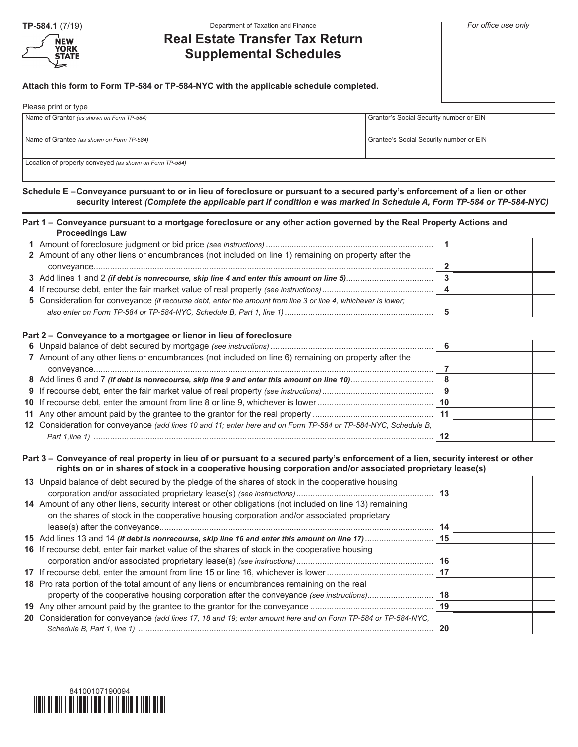

## **TP-584.1** (7/19) *For office use only* **Department of Taxation and Finance For and Finance** *For office use only*

# **Real Estate Transfer Tax Return Supplemental Schedules**

**Attach this form to Form TP-584 or TP-584-NYC with the applicable schedule completed.**

| Please print or type                                    |                                         |  |  |  |  |  |
|---------------------------------------------------------|-----------------------------------------|--|--|--|--|--|
| Name of Grantor (as shown on Form TP-584)               | Grantor's Social Security number or EIN |  |  |  |  |  |
| Name of Grantee (as shown on Form TP-584)               | Grantee's Social Security number or EIN |  |  |  |  |  |
| Location of property conveyed (as shown on Form TP-584) |                                         |  |  |  |  |  |

**Schedule E –Conveyance pursuant to or in lieu of foreclosure or pursuant to a secured party's enforcement of a lien or other security interest** *(Complete the applicable part if condition e was marked in Schedule A, Form TP-584 or TP-584-NYC)*

# **Part 1 – Conveyance pursuant to a mortgage foreclosure or any other action governed by the Real Property Actions and Proceedings Law**

| 2 Amount of any other liens or encumbrances (not included on line 1) remaining on property after the          |  |  |
|---------------------------------------------------------------------------------------------------------------|--|--|
|                                                                                                               |  |  |
|                                                                                                               |  |  |
|                                                                                                               |  |  |
| 5 Consideration for conveyance (if recourse debt, enter the amount from line 3 or line 4, whichever is lower; |  |  |
|                                                                                                               |  |  |

# **Part 2 – Conveyance to a mortgagee or lienor in lieu of foreclosure**

|                                                                                                                | -6  |  |
|----------------------------------------------------------------------------------------------------------------|-----|--|
| 7 Amount of any other liens or encumbrances (not included on line 6) remaining on property after the           |     |  |
|                                                                                                                |     |  |
| 8 Add lines 6 and 7 <i>(if debt is nonrecourse, skip line 9 and enter this amount on line 10)</i>              |     |  |
|                                                                                                                |     |  |
|                                                                                                                | 10  |  |
|                                                                                                                | -11 |  |
| 12 Consideration for conveyance (add lines 10 and 11; enter here and on Form TP-584 or TP-584-NYC, Schedule B, |     |  |
|                                                                                                                |     |  |

# **Part 3 – Conveyance of real property in lieu of or pursuant to a secured party's enforcement of a lien, security interest or other rights on or in shares of stock in a cooperative housing corporation and/or associated proprietary lease(s)**

| 13 Unpaid balance of debt secured by the pledge of the shares of stock in the cooperative housing                                                                                                       | 13 |  |
|---------------------------------------------------------------------------------------------------------------------------------------------------------------------------------------------------------|----|--|
| 14 Amount of any other liens, security interest or other obligations (not included on line 13) remaining<br>on the shares of stock in the cooperative housing corporation and/or associated proprietary | 14 |  |
|                                                                                                                                                                                                         | 15 |  |
| 16 If recourse debt, enter fair market value of the shares of stock in the cooperative housing                                                                                                          | 16 |  |
|                                                                                                                                                                                                         | 17 |  |
| 18 Pro rata portion of the total amount of any liens or encumbrances remaining on the real<br>property of the cooperative housing corporation after the conveyance (see instructions)                   | 18 |  |
|                                                                                                                                                                                                         | 19 |  |
| 20 Consideration for conveyance (add lines 17, 18 and 19; enter amount here and on Form TP-584 or TP-584-NYC,                                                                                           | 20 |  |

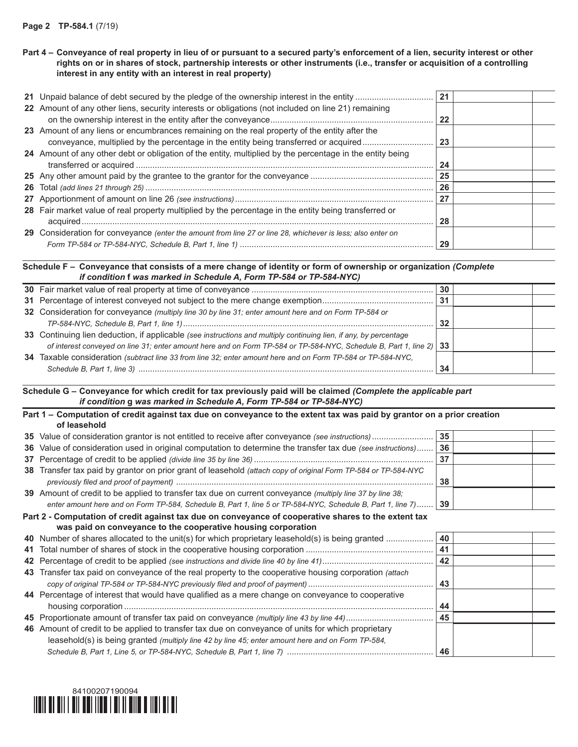| Part 4 – Conveyance of real property in lieu of or pursuant to a secured party's enforcement of a lien, security interest or other |
|------------------------------------------------------------------------------------------------------------------------------------|
| rights on or in shares of stock, partnership interests or other instruments (i.e., transfer or acquisition of a controlling        |
| interest in any entity with an interest in real property)                                                                          |

|                                                                                                                                                                                       | 21  |  |
|---------------------------------------------------------------------------------------------------------------------------------------------------------------------------------------|-----|--|
| 22 Amount of any other liens, security interests or obligations (not included on line 21) remaining                                                                                   | -22 |  |
| 23 Amount of any liens or encumbrances remaining on the real property of the entity after the<br>conveyance, multiplied by the percentage in the entity being transferred or acquired | 23  |  |
| 24 Amount of any other debt or obligation of the entity, multiplied by the percentage in the entity being                                                                             | 24  |  |
|                                                                                                                                                                                       | 25  |  |
|                                                                                                                                                                                       | 26  |  |
|                                                                                                                                                                                       | 27  |  |
| 28 Fair market value of real property multiplied by the percentage in the entity being transferred or                                                                                 | 28  |  |
| 29 Consideration for conveyance (enter the amount from line 27 or line 28, whichever is less; also enter on                                                                           | -29 |  |

# **Schedule F – Conveyance that consists of a mere change of identity or form of ownership or organization** *(Complete if condition* **f** *was marked in Schedule A, Form TP-584 or TP-584-NYC)*

|                                                                                                                     | 30  |  |
|---------------------------------------------------------------------------------------------------------------------|-----|--|
|                                                                                                                     | -31 |  |
| 32 Consideration for conveyance (multiply line 30 by line 31; enter amount here and on Form TP-584 or               |     |  |
|                                                                                                                     | 32  |  |
| 33 Continuing lien deduction, if applicable (see instructions and multiply continuing lien, if any, by percentage   |     |  |
| of interest conveyed on line 31; enter amount here and on Form TP-584 or TP-584-NYC, Schedule B, Part 1, line 2) 33 |     |  |
| 34 Taxable consideration (subtract line 33 from line 32; enter amount here and on Form TP-584 or TP-584-NYC.        |     |  |
|                                                                                                                     | 34  |  |

**Schedule G – Conveyance for which credit for tax previously paid will be claimed** *(Complete the applicable part if condition* **g** *was marked in Schedule A, Form TP-584 or TP-584-NYC)*

| Part 1 – Computation of credit against tax due on conveyance to the extent tax was paid by grantor on a prior creation |    |  |
|------------------------------------------------------------------------------------------------------------------------|----|--|
| of leasehold                                                                                                           |    |  |
|                                                                                                                        | 35 |  |
| 36 Value of consideration used in original computation to determine the transfer tax due (see instructions)            | 36 |  |
|                                                                                                                        | 37 |  |
| 38 Transfer tax paid by grantor on prior grant of leasehold (attach copy of original Form TP-584 or TP-584-NYC         | 38 |  |
| 39 Amount of credit to be applied to transfer tax due on current conveyance (multiply line 37 by line 38;              |    |  |
| enter amount here and on Form TP-584, Schedule B, Part 1, line 5 or TP-584-NYC, Schedule B, Part 1, line 7) 39         |    |  |
| Part 2 - Computation of credit against tax due on conveyance of cooperative shares to the extent tax                   |    |  |
| was paid on conveyance to the cooperative housing corporation                                                          |    |  |
| 40 Number of shares allocated to the unit(s) for which proprietary leasehold(s) is being granted                       | 40 |  |
|                                                                                                                        | 41 |  |
|                                                                                                                        | 42 |  |
| 43 Transfer tax paid on conveyance of the real property to the cooperative housing corporation (attach                 |    |  |
|                                                                                                                        | 43 |  |
| 44 Percentage of interest that would have qualified as a mere change on conveyance to cooperative                      | 44 |  |
|                                                                                                                        | 45 |  |
| 46 Amount of credit to be applied to transfer tax due on conveyance of units for which proprietary                     |    |  |
|                                                                                                                        |    |  |
| leasehold(s) is being granted (multiply line 42 by line 45; enter amount here and on Form TP-584,                      |    |  |
|                                                                                                                        | 46 |  |

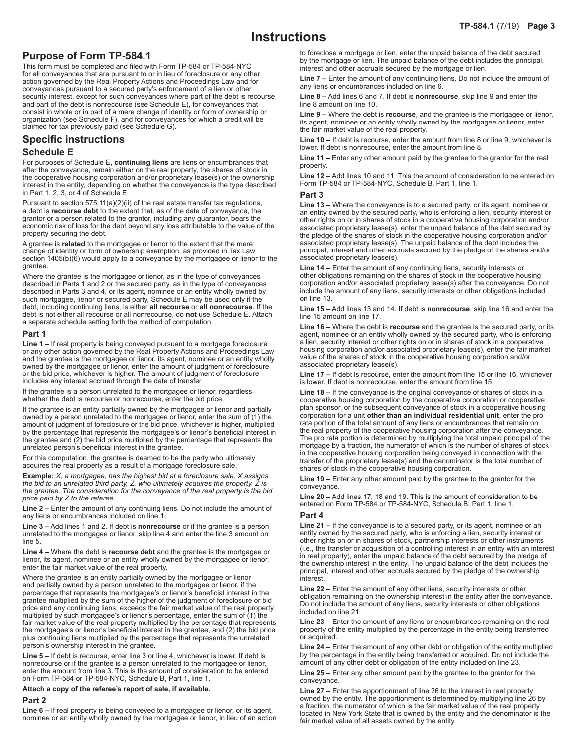# **Purpose of Form TP-584.1**

This form must be completed and filed with Form TP-584 or TP-584-NYC for all conveyances that are pursuant to or in lieu of foreclosure or any other action governed by the Real Property Actions and Proceedings Law and for conveyances pursuant to a secured party's enforcement of a lien or other security interest, except for such conveyances where part of the debt is recourse and part of the debt is nonrecourse (see Schedule E), for conveyances that consist in whole or in part of a mere change of identity or form of ownership or organization (see Schedule F), and for conveyances for which a credit will be claimed for tax previously paid (see Schedule G).

# **Specific instructions Schedule E**

For purposes of Schedule E, **continuing liens** are liens or encumbrances that after the conveyance, remain either on the real property, the shares of stock in the cooperative housing corporation and/or proprietary lease(s) or the ownership interest in the entity, depending on whether the conveyance is the type described in Part 1, 2, 3, or 4 of Schedule E.

Pursuant to section 575.11(a)(2)(ii) of the real estate transfer tax regulations, a debt is **recourse debt** to the extent that, as of the date of conveyance, the grantor or a person related to the grantor, including any guarantor, bears the economic risk of loss for the debt beyond any loss attributable to the value of the property securing the debt.

A grantee is **related** to the mortgagee or lienor to the extent that the mere change of identity or form of ownership exemption, as provided in Tax Law section 1405(b)(6) would apply to a conveyance by the mortgagee or lienor to the grantee.

Where the grantee is the mortgagee or lienor, as in the type of conveyances described in Parts 1 and 2 or the secured party, as in the type of conveyances described in Parts 3 and 4, or its agent, nominee or an entity wholly owned by such mortgagee, lienor or secured party, Schedule E may be used only if the debt, including continuing liens, is either **all recourse** or **all nonrecourse**. If the debt is not either all recourse or all nonrecourse, do **not** use Schedule E. Attach a separate schedule setting forth the method of computation.

#### **Part 1**

**Line 1 –** If real property is being conveyed pursuant to a mortgage foreclosure or any other action governed by the Real Property Actions and Proceedings Law and the grantee is the mortgagee or lienor, its agent, nominee or an entity wholly owned by the mortgagee or lienor, enter the amount of judgment of foreclosure or the bid price, whichever is higher. The amount of judgment of foreclosure includes any interest accrued through the date of transfer.

If the grantee is a person unrelated to the mortgagee or lienor, regardless whether the debt is recourse or nonrecourse, enter the bid price.

If the grantee is an entity partially owned by the mortgagee or lienor and partially owned by a person unrelated to the mortgagee or lienor, enter the sum of (1) the amount of judgment of foreclosure or the bid price, whichever is higher, multiplied by the percentage that represents the mortgagee's or lienor's beneficial interest in the grantee and (2) the bid price multiplied by the percentage that represents the unrelated person's beneficial interest in the grantee.

For this computation, the grantee is deemed to be the party who ultimately acquires the real property as a result of a mortgage foreclosure sale.

**Example:** *X, a mortgagee, has the highest bid at a foreclosure sale. X assigns the bid to an unrelated third party, Z, who ultimately acquires the property. Z is the grantee. The consideration for the conveyance of the real property is the bid price paid by Z to the referee.*

**Line 2 –** Enter the amount of any continuing liens. Do not include the amount of any liens or encumbrances included on line 1.

**Line 3 –** Add lines 1 and 2. If debt is **nonrecourse** or if the grantee is a person unrelated to the mortgagee or lienor, skip line 4 and enter the line 3 amount on line 5.

**Line 4 –** Where the debt is **recourse debt** and the grantee is the mortgagee or lienor, its agent, nominee or an entity wholly owned by the mortgagee or lienor, enter the fair market value of the real property.

Where the grantee is an entity partially owned by the mortgagee or lienor and partially owned by a person unrelated to the mortgagee or lienor, if the percentage that represents the mortgagee's or lienor's beneficial interest in the grantee multiplied by the sum of the higher of the judgment of foreclosure or bid price and any continuing liens, exceeds the fair market value of the real property multiplied by such mortgagee's or lienor's percentage, enter the sum of (1) the fair market value of the real property multiplied by the percentage that represents the mortgagee's or lienor's beneficial interest in the grantee, and (2) the bid price plus continuing liens multiplied by the percentage that represents the unrelated person's ownership interest in the grantee.

**Line 5 –** If debt is recourse, enter line 3 or line 4, whichever is lower. If debt is nonrecourse or if the grantee is a person unrelated to the mortgagee or lienor, enter the amount from line 3. This is the amount of consideration to be entered on Form TP-584 or TP-584-NYC, Schedule B, Part 1, line 1.

## **Attach a copy of the referee's report of sale, if available.**

## **Part 2**

**Line 6 –** If real property is being conveyed to a mortgagee or lienor, or its agent, nominee or an entity wholly owned by the mortgagee or lienor, in lieu of an action

to foreclose a mortgage or lien, enter the unpaid balance of the debt secured by the mortgage or lien. The unpaid balance of the debt includes the principal, interest and other accruals secured by the mortgage or lien.

**Line 7 –** Enter the amount of any continuing liens. Do not include the amount of any liens or encumbrances included on line 6.

**Line 8 –** Add lines 6 and 7. If debt is **nonrecourse**, skip line 9 and enter the line 8 amount on line 10.

**Line 9 –** Where the debt is **recourse**, and the grantee is the mortgagee or lienor, its agent, nominee or an entity wholly owned by the mortgagee or lienor, enter the fair market value of the real property.

**Line 10 –** If debt is recourse, enter the amount from line 8 or line 9, whichever is lower. If debt is nonrecourse, enter the amount from line 8.

**Line 11 –** Enter any other amount paid by the grantee to the grantor for the real property.

**Line 12 –** Add lines 10 and 11. This the amount of consideration to be entered on Form TP-584 or TP-584-NYC, Schedule B, Part 1, line 1.

## **Part 3**

**Line 13 –** Where the conveyance is to a secured party, or its agent, nominee or an entity owned by the secured party, who is enforcing a lien, security interest or other rights on or in shares of stock in a cooperative housing corporation and/or associated proprietary lease(s), enter the unpaid balance of the debt secured by the pledge of the shares of stock in the cooperative housing corporation and/or associated proprietary lease(s). The unpaid balance of the debt includes the principal, interest and other accruals secured by the pledge of the shares and/or associated proprietary lease(s).

**Line 14 –** Enter the amount of any continuing liens, security interests or other obligations remaining on the shares of stock in the cooperative housing corporation and/or associated proprietary lease(s) after the conveyance. Do not include the amount of any liens, security interests or other obligations included on line 13.

**Line 15 –** Add lines 13 and 14. If debt is **nonrecourse**, skip line 16 and enter the line 15 amount on line 17.

**Line 16 –** Where the debt is **recourse** and the grantee is the secured party, or its agent, nominee or an entity wholly owned by the secured party, who is enforcing a lien, security interest or other rights on or in shares of stock in a cooperative housing corporation and/or associated proprietary lease(s), enter the fair market value of the shares of stock in the cooperative housing corporation and/or associated proprietary lease(s).

**Line 17 –** If debt is recourse, enter the amount from line 15 or line 16, whichever is lower. If debt is nonrecourse, enter the amount from line 15.

**Line 18 –** If the conveyance is the original conveyance of shares of stock in a cooperative housing corporation by the cooperative corporation or cooperative plan sponsor, or the subsequent conveyance of stock in a cooperative housing corporation for a unit **other than an individual residential unit**, enter the pro rata portion of the total amount of any liens or encumbrances that remain on the real property of the cooperative housing corporation after the conveyance. The pro rata portion is determined by multiplying the total unpaid principal of the mortgage by a fraction, the numerator of which is the number of shares of stock in the cooperative housing corporation being conveyed in connection with the transfer of the proprietary lease(s) and the denominator is the total number of shares of stock in the cooperative housing corporation.

**Line 19 –** Enter any other amount paid by the grantee to the grantor for the conveyance.

**Line 20 –** Add lines 17, 18 and 19. This is the amount of consideration to be entered on Form TP-584 or TP-584-NYC, Schedule B, Part 1, line 1.

#### **Part 4**

**Line 21 –** If the conveyance is to a secured party, or its agent, nominee or an entity owned by the secured party, who is enforcing a lien, security interest or other rights on or in shares of stock, partnership interests or other instruments (i.e., the transfer or acquisition of a controlling interest in an entity with an interest in real property), enter the unpaid balance of the debt secured by the pledge of the ownership interest in the entity. The unpaid balance of the debt includes the principal, interest and other accruals secured by the pledge of the ownership interest.

**Line 22 –** Enter the amount of any other liens, security interests or other obligation remaining on the ownership interest in the entity after the conveyance. Do not include the amount of any liens, security interests or other obligations included on line 21.

**Line 23 –** Enter the amount of any liens or encumbrances remaining on the real property of the entity multiplied by the percentage in the entity being transferred or acquired.

**Line 24 –** Enter the amount of any other debt or obligation of the entity multiplied by the percentage in the entity being transferred or acquired. Do not include the amount of any other debt or obligation of the entity included on line 23.

**Line 25 –** Enter any other amount paid by the grantee to the grantor for the conveyance.

**Line 27 –** Enter the apportionment of line 26 to the interest in real property owned by the entity. The apportionment is determined by multiplying line 26 by a fraction, the numerator of which is the fair market value of the real property located in New York State that is owned by the entity and the denominator is the fair market value of all assets owned by the entity.